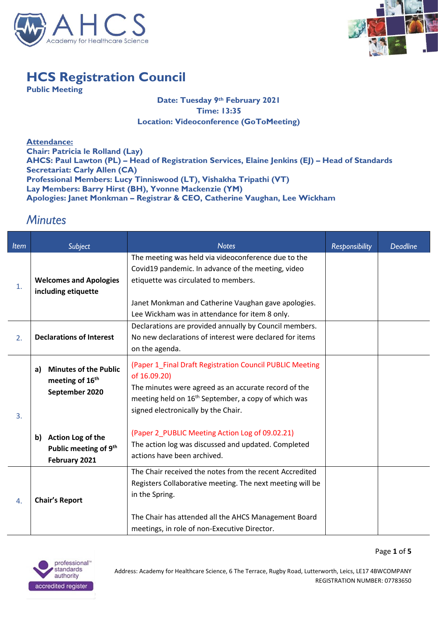



Page **1** of **5**

## **HCS Registration Council**

**Public Meeting**

## **Date: Tuesday 9th February 2021 Time: 13:35 Location: Videoconference (GoToMeeting)**

**Attendance: Chair: Patricia le Rolland (Lay) AHCS: Paul Lawton (PL) – Head of Registration Services, Elaine Jenkins (EJ) – Head of Standards Secretariat: Carly Allen (CA) Professional Members: Lucy Tinniswood (LT), Vishakha Tripathi (VT) Lay Members: Barry Hirst (BH), Yvonne Mackenzie (YM) Apologies: Janet Monkman – Registrar & CEO, Catherine Vaughan, Lee Wickham**

## *Minutes*

| <b>Item</b> | Subject                                                                             | <b>Notes</b>                                                                                                                                                                                                                                   | <b>Responsibility</b> | <b>Deadline</b> |
|-------------|-------------------------------------------------------------------------------------|------------------------------------------------------------------------------------------------------------------------------------------------------------------------------------------------------------------------------------------------|-----------------------|-----------------|
| 1.          | <b>Welcomes and Apologies</b><br>including etiquette                                | The meeting was held via videoconference due to the<br>Covid19 pandemic. In advance of the meeting, video<br>etiquette was circulated to members.                                                                                              |                       |                 |
|             |                                                                                     | Janet Monkman and Catherine Vaughan gave apologies.<br>Lee Wickham was in attendance for item 8 only.                                                                                                                                          |                       |                 |
| 2.          | <b>Declarations of Interest</b>                                                     | Declarations are provided annually by Council members.<br>No new declarations of interest were declared for items<br>on the agenda.                                                                                                            |                       |                 |
| 3.          | <b>Minutes of the Public</b><br>a)<br>meeting of 16 <sup>th</sup><br>September 2020 | (Paper 1_Final Draft Registration Council PUBLIC Meeting<br>of 16.09.20)<br>The minutes were agreed as an accurate record of the<br>meeting held on 16 <sup>th</sup> September, a copy of which was<br>signed electronically by the Chair.     |                       |                 |
|             | Action Log of the<br>b)<br>Public meeting of 9 <sup>th</sup><br>February 2021       | (Paper 2_PUBLIC Meeting Action Log of 09.02.21)<br>The action log was discussed and updated. Completed<br>actions have been archived.                                                                                                          |                       |                 |
| 4.          | <b>Chair's Report</b>                                                               | The Chair received the notes from the recent Accredited<br>Registers Collaborative meeting. The next meeting will be<br>in the Spring.<br>The Chair has attended all the AHCS Management Board<br>meetings, in role of non-Executive Director. |                       |                 |

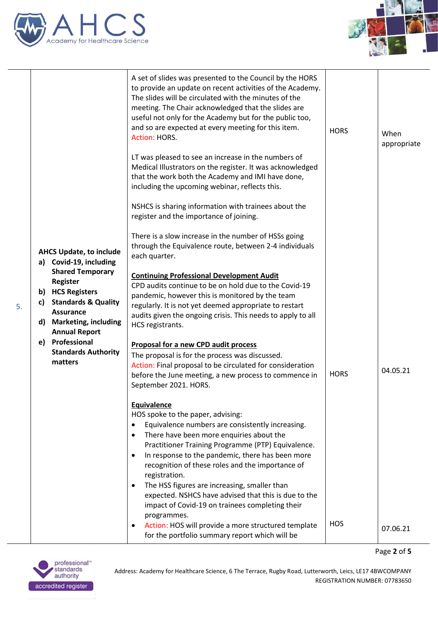



|    |                                                                                                                                                                               | A set of slides was presented to the Council by the HORS<br>to provide an update on recent activities of the Academy.<br>The slides will be circulated with the minutes of the<br>meeting. The Chair acknowledged that the slides are<br>useful not only for the Academy but for the public too,<br>and so are expected at every meeting for this item.<br>Action: HORS.                                                                                                                                                                                      | <b>HORS</b> | When<br>appropriate |
|----|-------------------------------------------------------------------------------------------------------------------------------------------------------------------------------|---------------------------------------------------------------------------------------------------------------------------------------------------------------------------------------------------------------------------------------------------------------------------------------------------------------------------------------------------------------------------------------------------------------------------------------------------------------------------------------------------------------------------------------------------------------|-------------|---------------------|
|    |                                                                                                                                                                               | LT was pleased to see an increase in the numbers of<br>Medical Illustrators on the register. It was acknowledged<br>that the work both the Academy and IMI have done,<br>including the upcoming webinar, reflects this.                                                                                                                                                                                                                                                                                                                                       |             |                     |
|    |                                                                                                                                                                               | NSHCS is sharing information with trainees about the<br>register and the importance of joining.                                                                                                                                                                                                                                                                                                                                                                                                                                                               |             |                     |
|    | <b>AHCS Update, to include</b><br>a) Covid-19, including                                                                                                                      | There is a slow increase in the number of HSSs going<br>through the Equivalence route, between 2-4 individuals<br>each quarter.                                                                                                                                                                                                                                                                                                                                                                                                                               |             |                     |
| 5. | <b>Shared Temporary</b><br><b>Register</b><br>b) HCS Registers<br><b>Standards &amp; Quality</b><br>C)<br><b>Assurance</b><br>d) Marketing, including<br><b>Annual Report</b> | <b>Continuing Professional Development Audit</b><br>CPD audits continue to be on hold due to the Covid-19<br>pandemic, however this is monitored by the team<br>regularly. It is not yet deemed appropriate to restart<br>audits given the ongoing crisis. This needs to apply to all<br>HCS registrants.                                                                                                                                                                                                                                                     |             |                     |
|    | e) Professional<br><b>Standards Authority</b><br>matters                                                                                                                      | Proposal for a new CPD audit process<br>The proposal is for the process was discussed.<br>Action: Final proposal to be circulated for consideration<br>before the June meeting, a new process to commence in<br>September 2021. HORS.                                                                                                                                                                                                                                                                                                                         | <b>HORS</b> | 04.05.21            |
|    |                                                                                                                                                                               | Equivalence<br>HOS spoke to the paper, advising:<br>Equivalence numbers are consistently increasing.<br>$\bullet$<br>There have been more enquiries about the<br>$\bullet$<br>Practitioner Training Programme (PTP) Equivalence.<br>In response to the pandemic, there has been more<br>$\bullet$<br>recognition of these roles and the importance of<br>registration.<br>The HSS figures are increasing, smaller than<br>$\bullet$<br>expected. NSHCS have advised that this is due to the<br>impact of Covid-19 on trainees completing their<br>programmes. |             |                     |
|    |                                                                                                                                                                               | Action: HOS will provide a more structured template<br>$\bullet$<br>for the portfolio summary report which will be                                                                                                                                                                                                                                                                                                                                                                                                                                            | <b>HOS</b>  | 07.06.21            |

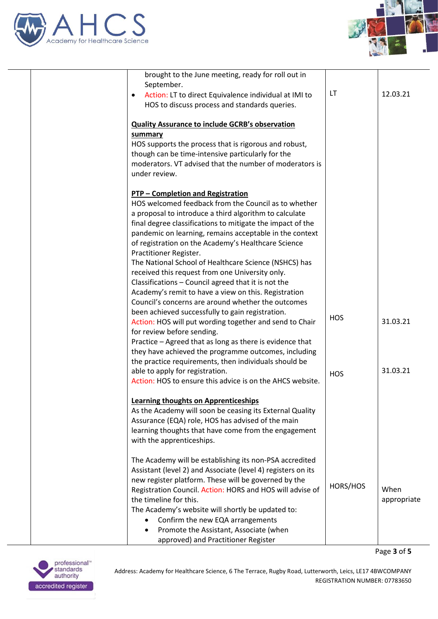



| brought to the June meeting, ready for roll out in                               |            |             |
|----------------------------------------------------------------------------------|------------|-------------|
| September.<br>Action: LT to direct Equivalence individual at IMI to<br>$\bullet$ | LT         | 12.03.21    |
| HOS to discuss process and standards queries.                                    |            |             |
|                                                                                  |            |             |
| <b>Quality Assurance to include GCRB's observation</b>                           |            |             |
| summary                                                                          |            |             |
| HOS supports the process that is rigorous and robust,                            |            |             |
| though can be time-intensive particularly for the                                |            |             |
| moderators. VT advised that the number of moderators is                          |            |             |
| under review.                                                                    |            |             |
| <b>PTP - Completion and Registration</b>                                         |            |             |
| HOS welcomed feedback from the Council as to whether                             |            |             |
| a proposal to introduce a third algorithm to calculate                           |            |             |
| final degree classifications to mitigate the impact of the                       |            |             |
| pandemic on learning, remains acceptable in the context                          |            |             |
| of registration on the Academy's Healthcare Science                              |            |             |
| Practitioner Register.                                                           |            |             |
| The National School of Healthcare Science (NSHCS) has                            |            |             |
| received this request from one University only.                                  |            |             |
| Classifications - Council agreed that it is not the                              |            |             |
| Academy's remit to have a view on this. Registration                             |            |             |
| Council's concerns are around whether the outcomes                               |            |             |
| been achieved successfully to gain registration.                                 | <b>HOS</b> |             |
| Action: HOS will put wording together and send to Chair                          |            | 31.03.21    |
| for review before sending.                                                       |            |             |
| Practice - Agreed that as long as there is evidence that                         |            |             |
| they have achieved the programme outcomes, including                             |            |             |
| the practice requirements, then individuals should be                            |            |             |
| able to apply for registration.                                                  | <b>HOS</b> | 31.03.21    |
| Action: HOS to ensure this advice is on the AHCS website.                        |            |             |
| <b>Learning thoughts on Apprenticeships</b>                                      |            |             |
| As the Academy will soon be ceasing its External Quality                         |            |             |
| Assurance (EQA) role, HOS has advised of the main                                |            |             |
| learning thoughts that have come from the engagement                             |            |             |
| with the apprenticeships.                                                        |            |             |
| The Academy will be establishing its non-PSA accredited                          |            |             |
| Assistant (level 2) and Associate (level 4) registers on its                     |            |             |
| new register platform. These will be governed by the                             |            |             |
| Registration Council. Action: HORS and HOS will advise of                        | HORS/HOS   | When        |
| the timeline for this.                                                           |            | appropriate |
| The Academy's website will shortly be updated to:                                |            |             |
| Confirm the new EQA arrangements                                                 |            |             |
| Promote the Assistant, Associate (when                                           |            |             |
| approved) and Practitioner Register                                              |            |             |
|                                                                                  |            |             |

Page **3** of **5**

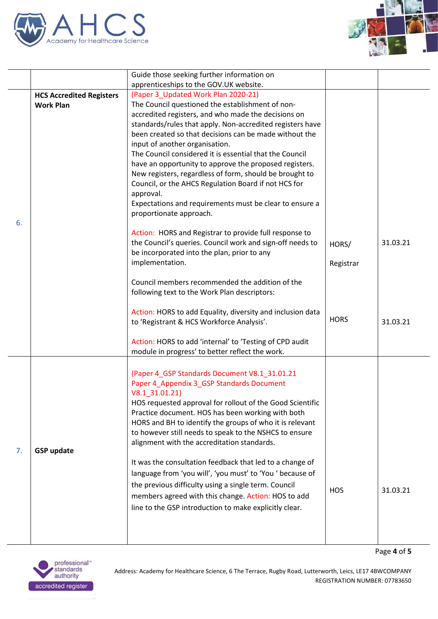



Page **4** of **5**

|    |                                 | Guide those seeking further information on                                               |             |          |
|----|---------------------------------|------------------------------------------------------------------------------------------|-------------|----------|
|    |                                 | apprenticeships to the GOV.UK website.                                                   |             |          |
|    | <b>HCS Accredited Registers</b> | (Paper 3_Updated Work Plan 2020-21)                                                      |             |          |
|    | <b>Work Plan</b>                | The Council questioned the establishment of non-                                         |             |          |
|    |                                 | accredited registers, and who made the decisions on                                      |             |          |
|    |                                 | standards/rules that apply. Non-accredited registers have                                |             |          |
|    |                                 | been created so that decisions can be made without the<br>input of another organisation. |             |          |
|    |                                 | The Council considered it is essential that the Council                                  |             |          |
|    |                                 | have an opportunity to approve the proposed registers.                                   |             |          |
|    |                                 | New registers, regardless of form, should be brought to                                  |             |          |
|    |                                 | Council, or the AHCS Regulation Board if not HCS for                                     |             |          |
|    |                                 | approval.                                                                                |             |          |
|    |                                 | Expectations and requirements must be clear to ensure a                                  |             |          |
|    |                                 | proportionate approach.                                                                  |             |          |
| 6. |                                 | Action: HORS and Registrar to provide full response to                                   |             |          |
|    |                                 | the Council's queries. Council work and sign-off needs to                                | HORS/       | 31.03.21 |
|    |                                 | be incorporated into the plan, prior to any                                              |             |          |
|    |                                 | implementation.                                                                          | Registrar   |          |
|    |                                 |                                                                                          |             |          |
|    |                                 | Council members recommended the addition of the                                          |             |          |
|    |                                 | following text to the Work Plan descriptors:                                             |             |          |
|    |                                 | Action: HORS to add Equality, diversity and inclusion data                               |             |          |
|    |                                 | to 'Registrant & HCS Workforce Analysis'.                                                | <b>HORS</b> | 31.03.21 |
|    |                                 |                                                                                          |             |          |
|    |                                 | Action: HORS to add 'internal' to 'Testing of CPD audit                                  |             |          |
|    |                                 | module in progress' to better reflect the work.                                          |             |          |
|    |                                 | (Paper 4_GSP Standards Document V8.1_31.01.21                                            |             |          |
|    |                                 | Paper 4_Appendix 3_GSP Standards Document                                                |             |          |
|    |                                 | V8.1 31.01.21)                                                                           |             |          |
|    |                                 | HOS requested approval for rollout of the Good Scientific                                |             |          |
|    |                                 | Practice document. HOS has been working with both                                        |             |          |
|    |                                 | HORS and BH to identify the groups of who it is relevant                                 |             |          |
|    |                                 | to however still needs to speak to the NSHCS to ensure                                   |             |          |
| 7. | <b>GSP update</b>               | alignment with the accreditation standards.                                              |             |          |
|    |                                 | It was the consultation feedback that led to a change of                                 |             |          |
|    |                                 | language from 'you will', 'you must' to 'You ' because of                                |             |          |
|    |                                 | the previous difficulty using a single term. Council                                     |             |          |
|    |                                 | members agreed with this change. Action: HOS to add                                      | <b>HOS</b>  | 31.03.21 |
|    |                                 | line to the GSP introduction to make explicitly clear.                                   |             |          |
|    |                                 |                                                                                          |             |          |
|    |                                 |                                                                                          |             |          |
|    |                                 |                                                                                          |             |          |

professional<sup>\*</sup><br>standards<br>authority accredited register